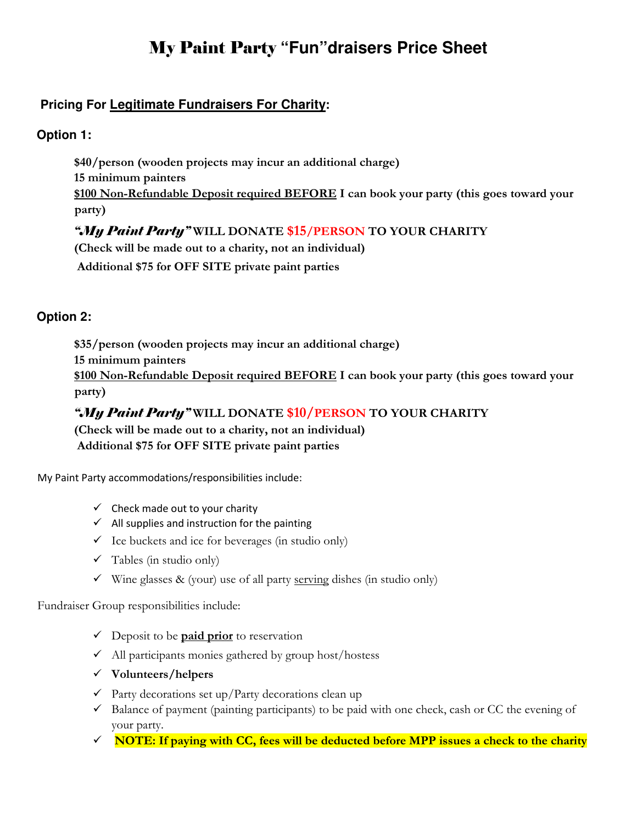# My Paint Party **"Fun"draisers Price Sheet**

### **Pricing For Legitimate Fundraisers For Charity:**

#### **Option 1:**

**\$40/person (wooden projects may incur an additional charge) 15 minimum painters \$100 Non-Refundable Deposit required BEFORE I can book your party (this goes toward your party)** 

#### *"My Paint Party"* **WILL DONATE \$15/PERSON TO YOUR CHARITY**

**(Check will be made out to a charity, not an individual)** 

 **Additional \$75 for OFF SITE private paint parties**

#### **Option 2:**

**\$35/person (wooden projects may incur an additional charge) 15 minimum painters \$100 Non-Refundable Deposit required BEFORE I can book your party (this goes toward your party)** 

## *"My Paint Party"* **WILL DONATE \$10/PERSON TO YOUR CHARITY**

**(Check will be made out to a charity, not an individual) Additional \$75 for OFF SITE private paint parties** 

My Paint Party accommodations/responsibilities include:

- $\checkmark$  Check made out to your charity
- $\checkmark$  All supplies and instruction for the painting
- $\checkmark$  Ice buckets and ice for beverages (in studio only)
- $\checkmark$  Tables (in studio only)
- $\checkmark$  Wine glasses & (your) use of all party serving dishes (in studio only)

Fundraiser Group responsibilities include:

- Deposit to be **paid prior** to reservation
- $\checkmark$  All participants monies gathered by group host/hostess
- **Volunteers/helpers**
- $\checkmark$  Party decorations set up/Party decorations clean up
- $\checkmark$  Balance of payment (painting participants) to be paid with one check, cash or CC the evening of your party.
- **NOTE: If paying with CC, fees will be deducted before MPP issues a check to the charity**